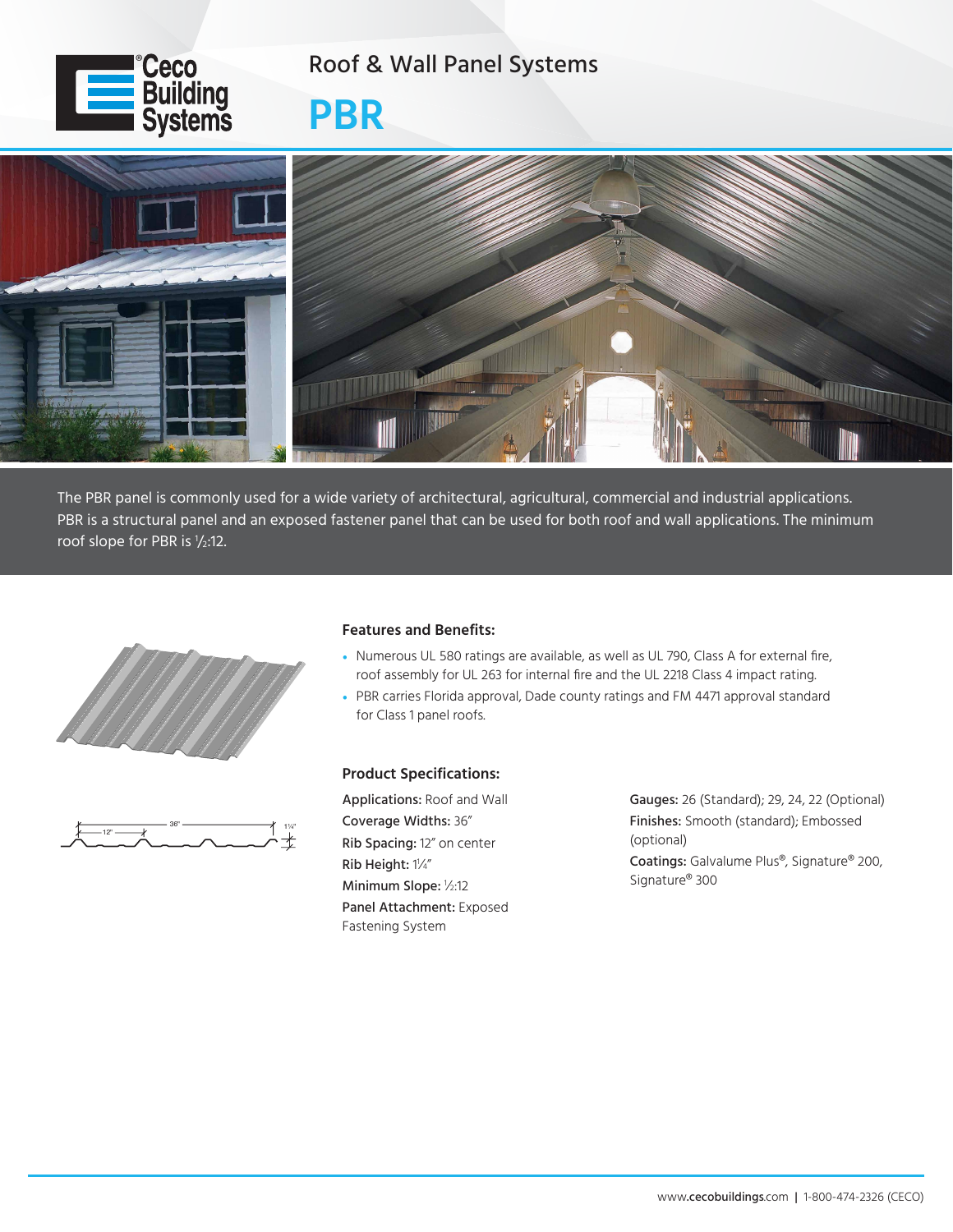

## Roof & Wall Panel Systems

**PBR**



The PBR panel is commonly used for a wide variety of architectural, agricultural, commercial and industrial applications. PBR is a structural panel and an exposed fastener panel that can be used for both roof and wall applications. The minimum roof slope for PBR is  $1/2:12$ .





## **Features and Benefits:**

- Numerous UL 580 ratings are available, as well as UL 790, Class A for external fire, roof assembly for UL 263 for internal fire and the UL 2218 Class 4 impact rating.
- PBR carries Florida approval, Dade county ratings and FM 4471 approval standard for Class 1 panel roofs.

## **Product Specifications:**

Applications: Roof and Wall Coverage Widths: 36" Rib Spacing: 12" on center Rib Height: 1 1 ⁄4" Minimum Slope: <sup>1</sup> ⁄2:12 Panel Attachment: Exposed Fastening System

Gauges: 26 (Standard); 29, 24, 22 (Optional) Finishes: Smooth (standard); Embossed (optional) Coatings: Galvalume Plus®, Signature® 200, Signature® 300